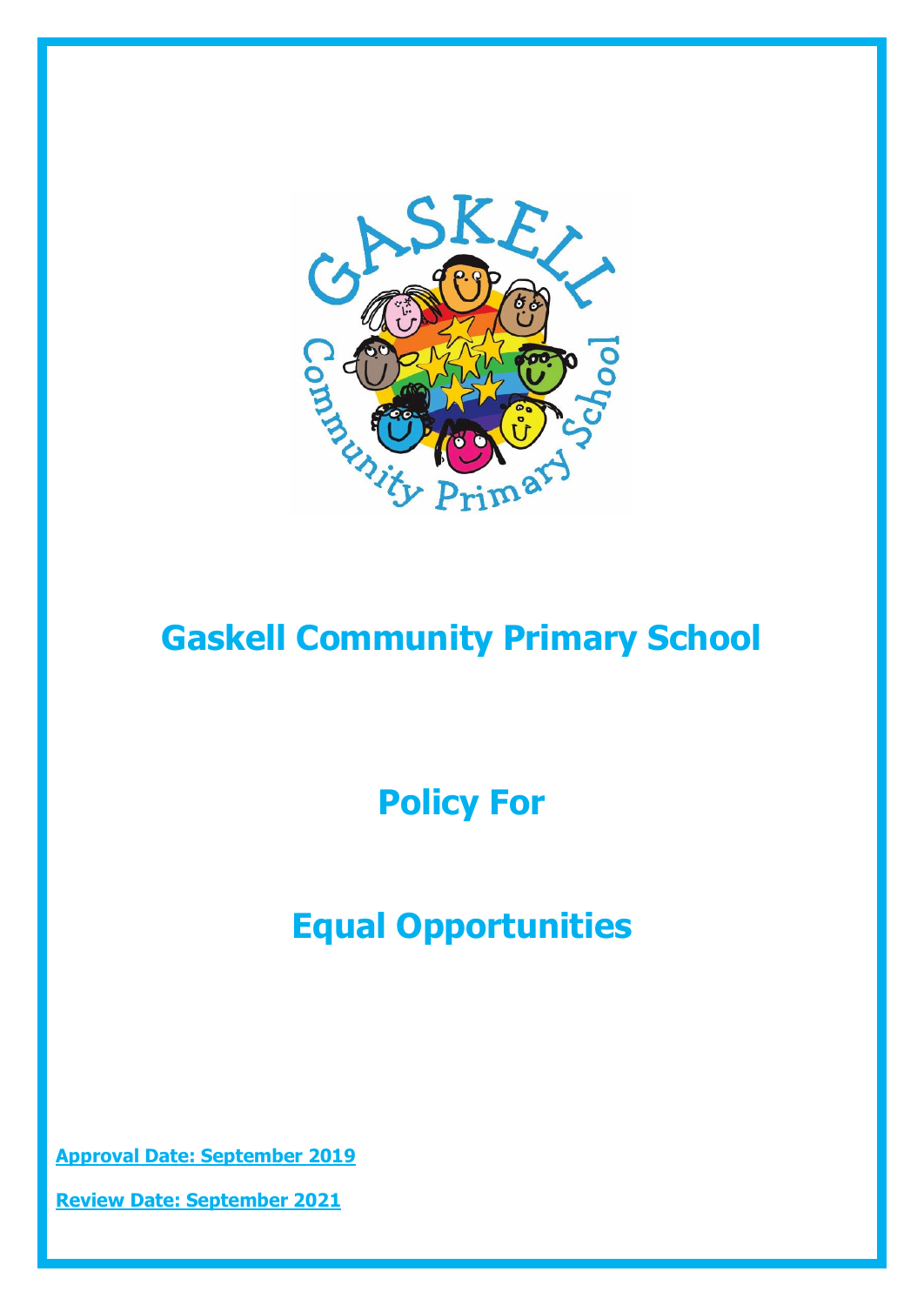

# **Gaskell Community Primary School**

**Policy For**

# **Equal Opportunities**

**Approval Date: September 2019**

**Review Date: September 2021**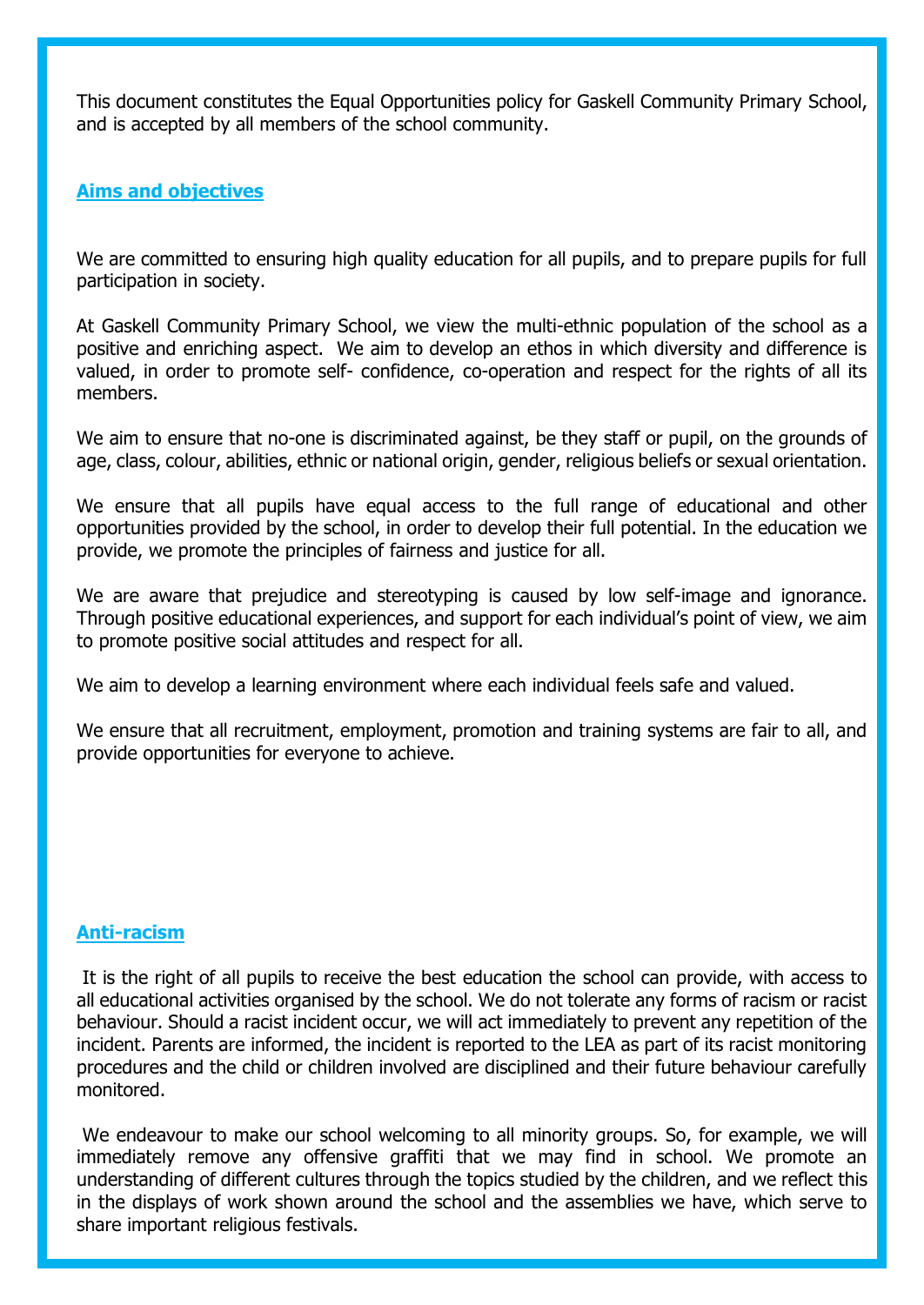This document constitutes the Equal Opportunities policy for Gaskell Community Primary School, and is accepted by all members of the school community.

### **Aims and objectives**

We are committed to ensuring high quality education for all pupils, and to prepare pupils for full participation in society.

At Gaskell Community Primary School, we view the multi-ethnic population of the school as a positive and enriching aspect. We aim to develop an ethos in which diversity and difference is valued, in order to promote self- confidence, co-operation and respect for the rights of all its members.

We aim to ensure that no-one is discriminated against, be they staff or pupil, on the grounds of age, class, colour, abilities, ethnic or national origin, gender, religious beliefs or sexual orientation.

We ensure that all pupils have equal access to the full range of educational and other opportunities provided by the school, in order to develop their full potential. In the education we provide, we promote the principles of fairness and justice for all.

We are aware that prejudice and stereotyping is caused by low self-image and ignorance. Through positive educational experiences, and support for each individual's point of view, we aim to promote positive social attitudes and respect for all.

We aim to develop a learning environment where each individual feels safe and valued.

We ensure that all recruitment, employment, promotion and training systems are fair to all, and provide opportunities for everyone to achieve.

#### **Anti-racism**

It is the right of all pupils to receive the best education the school can provide, with access to all educational activities organised by the school. We do not tolerate any forms of racism or racist behaviour. Should a racist incident occur, we will act immediately to prevent any repetition of the incident. Parents are informed, the incident is reported to the LEA as part of its racist monitoring procedures and the child or children involved are disciplined and their future behaviour carefully monitored.

We endeavour to make our school welcoming to all minority groups. So, for example, we will immediately remove any offensive graffiti that we may find in school. We promote an understanding of different cultures through the topics studied by the children, and we reflect this in the displays of work shown around the school and the assemblies we have, which serve to share important religious festivals.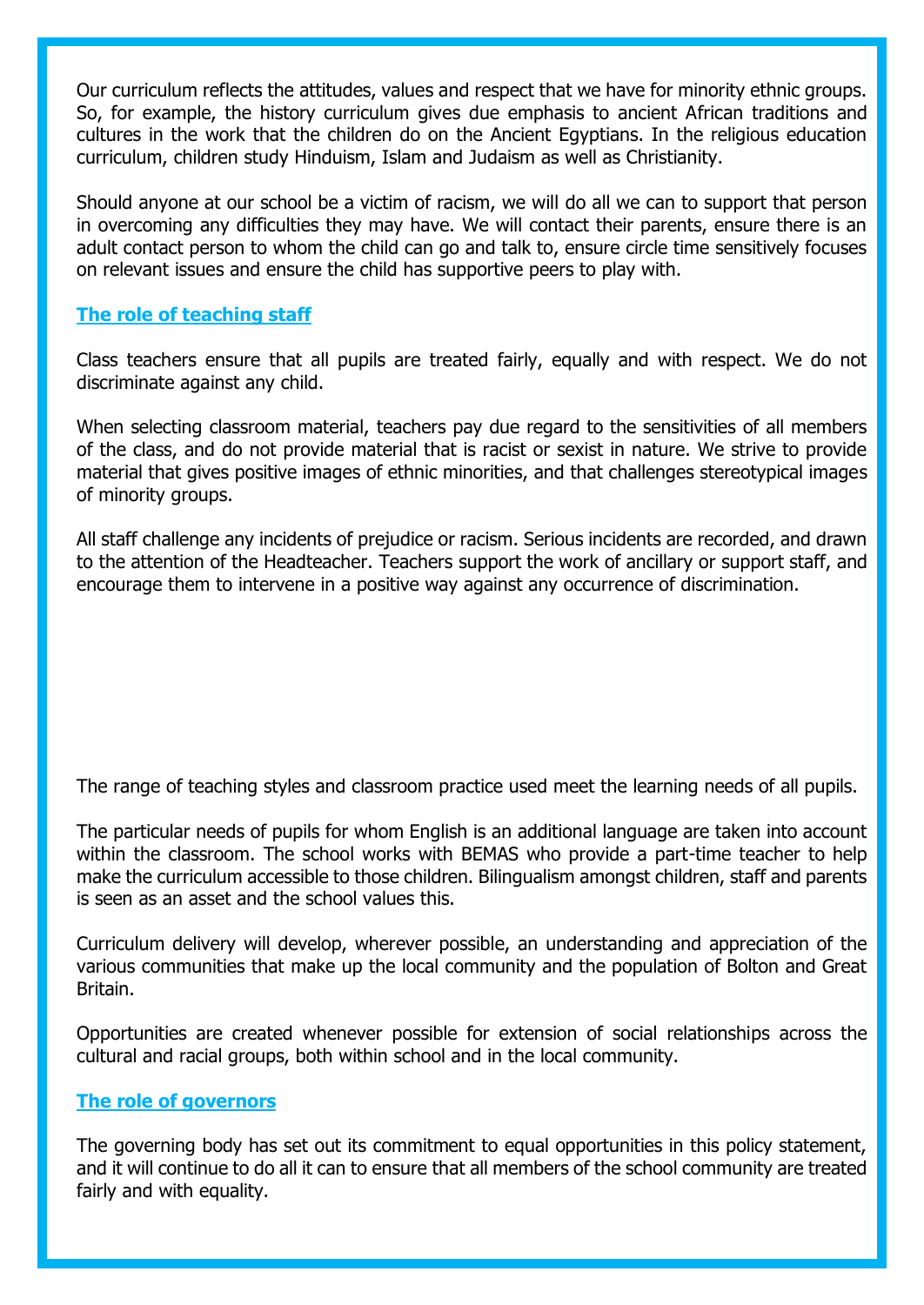Our curriculum reflects the attitudes, values and respect that we have for minority ethnic groups. So, for example, the history curriculum gives due emphasis to ancient African traditions and cultures in the work that the children do on the Ancient Egyptians. In the religious education curriculum, children study Hinduism, Islam and Judaism as well as Christianity.

Should anyone at our school be a victim of racism, we will do all we can to support that person in overcoming any difficulties they may have. We will contact their parents, ensure there is an adult contact person to whom the child can go and talk to, ensure circle time sensitively focuses on relevant issues and ensure the child has supportive peers to play with.

### **The role of teaching staff**

Class teachers ensure that all pupils are treated fairly, equally and with respect. We do not discriminate against any child.

When selecting classroom material, teachers pay due regard to the sensitivities of all members of the class, and do not provide material that is racist or sexist in nature. We strive to provide material that gives positive images of ethnic minorities, and that challenges stereotypical images of minority groups.

All staff challenge any incidents of prejudice or racism. Serious incidents are recorded, and drawn to the attention of the Headteacher. Teachers support the work of ancillary or support staff, and encourage them to intervene in a positive way against any occurrence of discrimination.

The range of teaching styles and classroom practice used meet the learning needs of all pupils.

The particular needs of pupils for whom English is an additional language are taken into account within the classroom. The school works with BEMAS who provide a part-time teacher to help make the curriculum accessible to those children. Bilingualism amongst children, staff and parents is seen as an asset and the school values this.

Curriculum delivery will develop, wherever possible, an understanding and appreciation of the various communities that make up the local community and the population of Bolton and Great Britain.

Opportunities are created whenever possible for extension of social relationships across the cultural and racial groups, both within school and in the local community.

#### **The role of governors**

The governing body has set out its commitment to equal opportunities in this policy statement, and it will continue to do all it can to ensure that all members of the school community are treated fairly and with equality.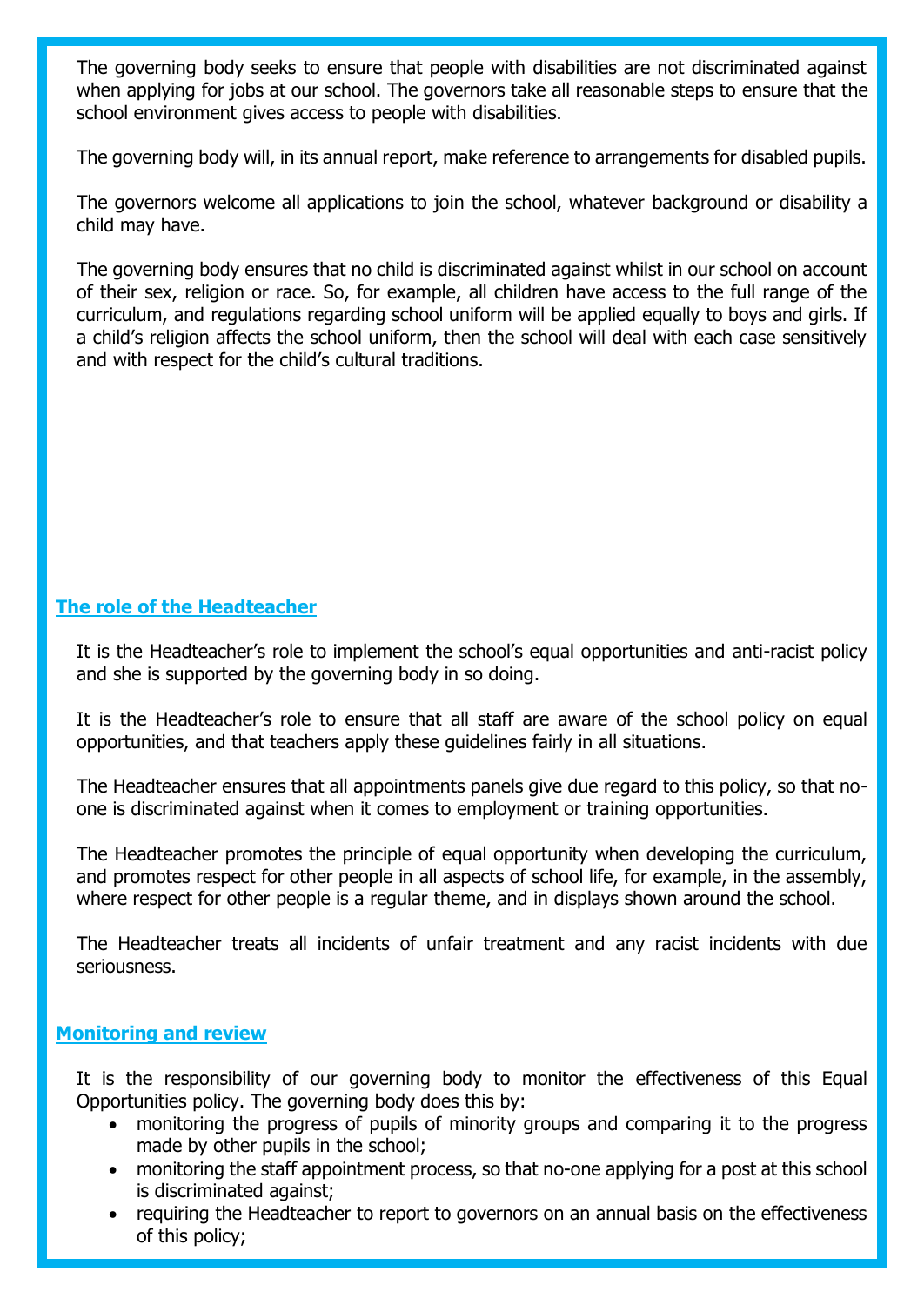The governing body seeks to ensure that people with disabilities are not discriminated against when applying for jobs at our school. The governors take all reasonable steps to ensure that the school environment gives access to people with disabilities.

The governing body will, in its annual report, make reference to arrangements for disabled pupils.

The governors welcome all applications to join the school, whatever background or disability a child may have.

The governing body ensures that no child is discriminated against whilst in our school on account of their sex, religion or race. So, for example, all children have access to the full range of the curriculum, and regulations regarding school uniform will be applied equally to boys and girls. If a child's religion affects the school uniform, then the school will deal with each case sensitively and with respect for the child's cultural traditions.

## **The role of the Headteacher**

It is the Headteacher's role to implement the school's equal opportunities and anti-racist policy and she is supported by the governing body in so doing.

It is the Headteacher's role to ensure that all staff are aware of the school policy on equal opportunities, and that teachers apply these guidelines fairly in all situations.

The Headteacher ensures that all appointments panels give due regard to this policy, so that noone is discriminated against when it comes to employment or training opportunities.

The Headteacher promotes the principle of equal opportunity when developing the curriculum, and promotes respect for other people in all aspects of school life, for example, in the assembly, where respect for other people is a regular theme, and in displays shown around the school.

The Headteacher treats all incidents of unfair treatment and any racist incidents with due seriousness.

### **Monitoring and review**

It is the responsibility of our governing body to monitor the effectiveness of this Equal Opportunities policy. The governing body does this by:

- monitoring the progress of pupils of minority groups and comparing it to the progress made by other pupils in the school;
- monitoring the staff appointment process, so that no-one applying for a post at this school is discriminated against;
- requiring the Headteacher to report to governors on an annual basis on the effectiveness of this policy;